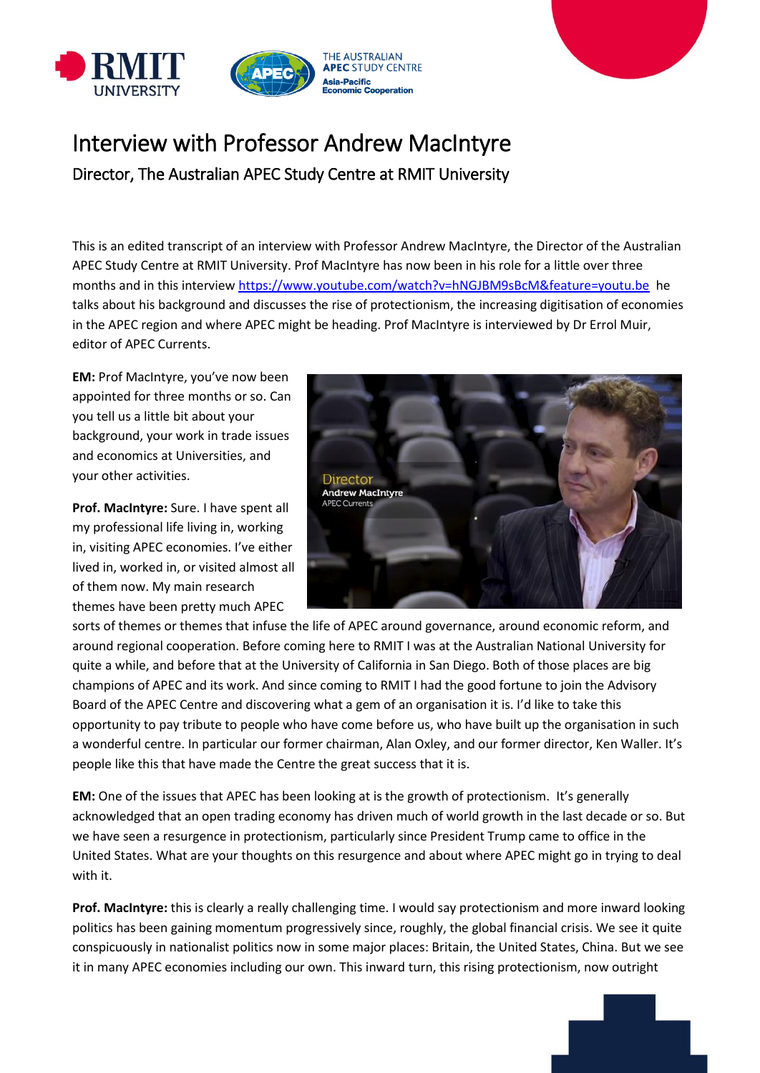



## Interview with Professor Andrew MacIntyre Director, The Australian APEC Study Centre at RMIT University

This is an edited transcript of an interview with Professor Andrew MacIntyre, the Director of the Australian APEC Study Centre at RMIT University. Prof MacIntyre has now been in his role for a little over three months and in this interview [https://www.youtube.com/watch?v=hNGJBM9sBcM&feature=youtu.be](https://apac01.safelinks.protection.outlook.com/?url=https%3A%2F%2Fprotect-au.mimecast.com%2Fs%2FPWzgCGvmDgTVvkQpC7f8rM%3Fdomain%3Dapac01.safelinks.protection.outlook.com&data=02%7C01%7C%7C54a37f236165469fc83f08d63dec8fe8%7Cd1323671cdbe4417b4d4bdb24b51316b%7C0%7C0%7C636764483611826669&sdata=ufRJ3%2ByoJLA%2BDCX6lrLs8xohqvmkn3D53kl0l8bRwB8%3D&reserved=0) he talks about his background and discusses the rise of protectionism, the increasing digitisation of economies in the APEC region and where APEC might be heading. Prof MacIntyre is interviewed by Dr Errol Muir, editor of APEC Currents.

**EM:** Prof MacIntyre, you've now been appointed for three months or so. Can you tell us a little bit about your background, your work in trade issues and economics at Universities, and your other activities.

**Prof. MacIntyre:** Sure. I have spent all my professional life living in, working in, visiting APEC economies. I've either lived in, worked in, or visited almost all of them now. My main research themes have been pretty much APEC



sorts of themes or themes that infuse the life of APEC around governance, around economic reform, and around regional cooperation. Before coming here to RMIT I was at the Australian National University for quite a while, and before that at the University of California in San Diego. Both of those places are big champions of APEC and its work. And since coming to RMIT I had the good fortune to join the Advisory Board of the APEC Centre and discovering what a gem of an organisation it is. I'd like to take this opportunity to pay tribute to people who have come before us, who have built up the organisation in such a wonderful centre. In particular our former chairman, Alan Oxley, and our former director, Ken Waller. It's people like this that have made the Centre the great success that it is.

**EM:** One of the issues that APEC has been looking at is the growth of protectionism. It's generally acknowledged that an open trading economy has driven much of world growth in the last decade or so. But we have seen a resurgence in protectionism, particularly since President Trump came to office in the United States. What are your thoughts on this resurgence and about where APEC might go in trying to deal with it.

**Prof. MacIntyre:** this is clearly a really challenging time. I would say protectionism and more inward looking politics has been gaining momentum progressively since, roughly, the global financial crisis. We see it quite conspicuously in nationalist politics now in some major places: Britain, the United States, China. But we see it in many APEC economies including our own. This inward turn, this rising protectionism, now outright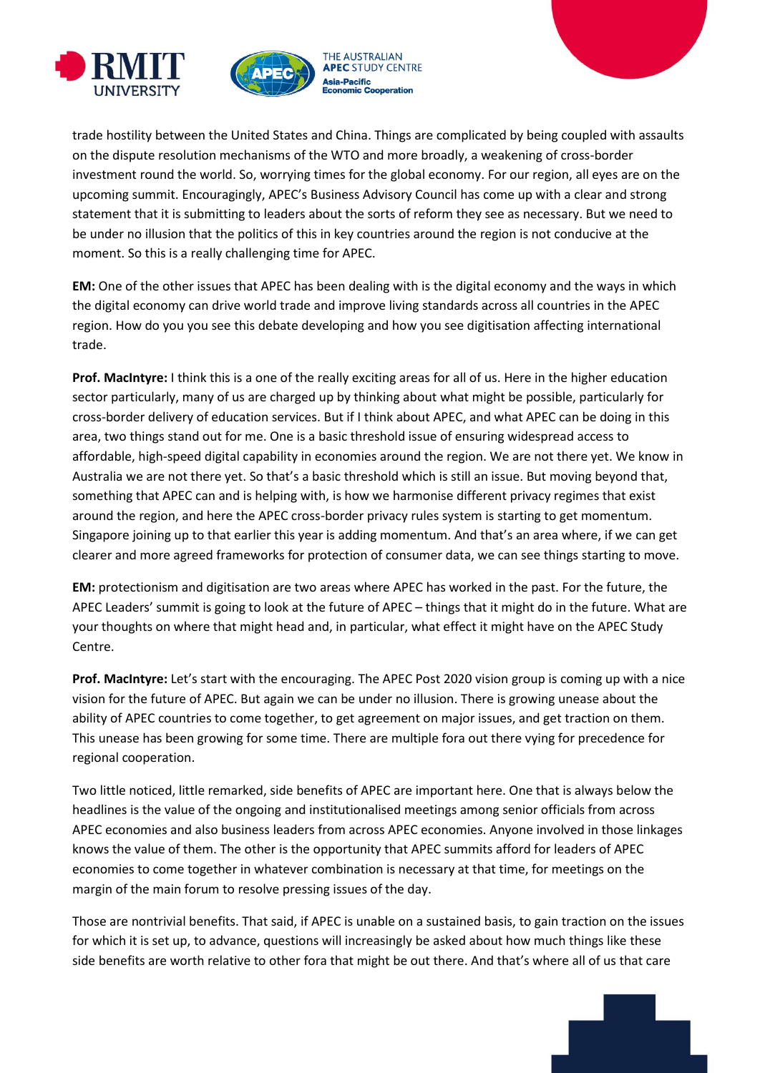



trade hostility between the United States and China. Things are complicated by being coupled with assaults on the dispute resolution mechanisms of the WTO and more broadly, a weakening of cross-border investment round the world. So, worrying times for the global economy. For our region, all eyes are on the upcoming summit. Encouragingly, APEC's Business Advisory Council has come up with a clear and strong statement that it is submitting to leaders about the sorts of reform they see as necessary. But we need to be under no illusion that the politics of this in key countries around the region is not conducive at the moment. So this is a really challenging time for APEC.

**EM:** One of the other issues that APEC has been dealing with is the digital economy and the ways in which the digital economy can drive world trade and improve living standards across all countries in the APEC region. How do you you see this debate developing and how you see digitisation affecting international trade.

**Prof. MacIntyre:** I think this is a one of the really exciting areas for all of us. Here in the higher education sector particularly, many of us are charged up by thinking about what might be possible, particularly for cross-border delivery of education services. But if I think about APEC, and what APEC can be doing in this area, two things stand out for me. One is a basic threshold issue of ensuring widespread access to affordable, high-speed digital capability in economies around the region. We are not there yet. We know in Australia we are not there yet. So that's a basic threshold which is still an issue. But moving beyond that, something that APEC can and is helping with, is how we harmonise different privacy regimes that exist around the region, and here the APEC cross-border privacy rules system is starting to get momentum. Singapore joining up to that earlier this year is adding momentum. And that's an area where, if we can get clearer and more agreed frameworks for protection of consumer data, we can see things starting to move.

**EM:** protectionism and digitisation are two areas where APEC has worked in the past. For the future, the APEC Leaders' summit is going to look at the future of APEC – things that it might do in the future. What are your thoughts on where that might head and, in particular, what effect it might have on the APEC Study Centre.

**Prof. MacIntyre:** Let's start with the encouraging. The APEC Post 2020 vision group is coming up with a nice vision for the future of APEC. But again we can be under no illusion. There is growing unease about the ability of APEC countries to come together, to get agreement on major issues, and get traction on them. This unease has been growing for some time. There are multiple fora out there vying for precedence for regional cooperation.

Two little noticed, little remarked, side benefits of APEC are important here. One that is always below the headlines is the value of the ongoing and institutionalised meetings among senior officials from across APEC economies and also business leaders from across APEC economies. Anyone involved in those linkages knows the value of them. The other is the opportunity that APEC summits afford for leaders of APEC economies to come together in whatever combination is necessary at that time, for meetings on the margin of the main forum to resolve pressing issues of the day.

Those are nontrivial benefits. That said, if APEC is unable on a sustained basis, to gain traction on the issues for which it is set up, to advance, questions will increasingly be asked about how much things like these side benefits are worth relative to other fora that might be out there. And that's where all of us that care